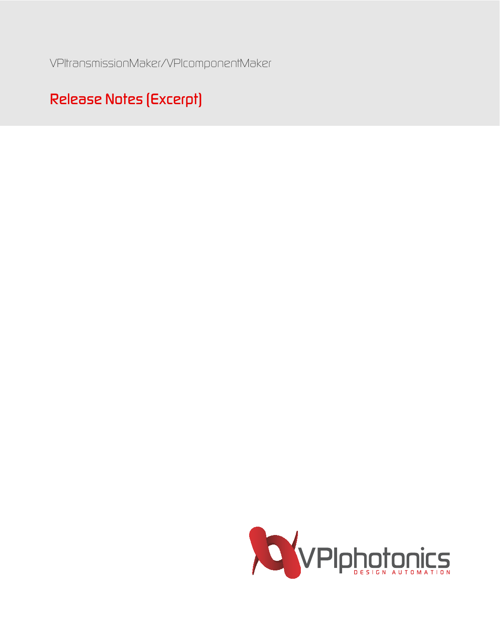*VPItransmissionMaker/VPIcomponentMaker*

## *Release Notes (Excerpt)*

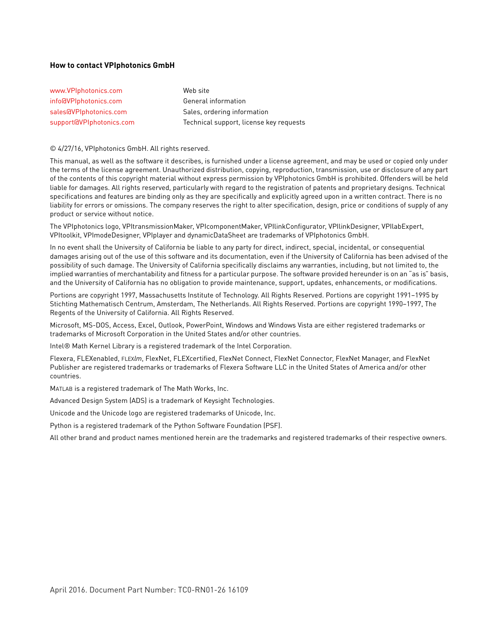#### **How to contact VPIphotonics GmbH**

| www.VPIphotonics.com     | Web site                                |
|--------------------------|-----------------------------------------|
| info@VPIphotonics.com    | General information                     |
| sales@VPIphotonics.com   | Sales, ordering information             |
| support@VPIphotonics.com | Technical support, license key requests |

#### © 4/27/16, VPIphotonics GmbH. All rights reserved.

This manual, as well as the software it describes, is furnished under a license agreement, and may be used or copied only under the terms of the license agreement. Unauthorized distribution, copying, reproduction, transmission, use or disclosure of any part of the contents of this copyright material without express permission by VPIphotonics GmbH is prohibited. Offenders will be held liable for damages. All rights reserved, particularly with regard to the registration of patents and proprietary designs. Technical specifications and features are binding only as they are specifically and explicitly agreed upon in a written contract. There is no liability for errors or omissions. The company reserves the right to alter specification, design, price or conditions of supply of any product or service without notice.

The VPIphotonics logo, VPItransmissionMaker, VPIcomponentMaker, VPIlinkConfigurator, VPIlinkDesigner, VPIlabExpert, VPItoolkit, VPImodeDesigner, VPIplayer and dynamicDataSheet are trademarks of VPIphotonics GmbH.

In no event shall the University of California be liable to any party for direct, indirect, special, incidental, or consequential damages arising out of the use of this software and its documentation, even if the University of California has been advised of the possibility of such damage. The University of California specifically disclaims any warranties, including, but not limited to, the implied warranties of merchantability and fitness for a particular purpose. The software provided hereunder is on an "as is" basis, and the University of California has no obligation to provide maintenance, support, updates, enhancements, or modifications.

Portions are copyright 1997, Massachusetts Institute of Technology. All Rights Reserved. Portions are copyright 1991–1995 by Stichting Mathematisch Centrum, Amsterdam, The Netherlands. All Rights Reserved. Portions are copyright 1990–1997, The Regents of the University of California. All Rights Reserved.

Microsoft, MS-DOS, Access, Excel, Outlook, PowerPoint, Windows and Windows Vista are either registered trademarks or trademarks of Microsoft Corporation in the United States and/or other countries.

Intel® Math Kernel Library is a registered trademark of the Intel Corporation.

Flexera, FLEXenabled, FLEX*lm*, FlexNet, FLEXcertified, FlexNet Connect, FlexNet Connector, FlexNet Manager, and FlexNet Publisher are registered trademarks or trademarks of Flexera Software LLC in the United States of America and/or other countries.

MATLAB is a registered trademark of The Math Works, Inc.

Advanced Design System (ADS) is a trademark of Keysight Technologies.

Unicode and the Unicode logo are registered trademarks of Unicode, Inc.

Python is a registered trademark of the Python Software Foundation (PSF).

All other brand and product names mentioned herein are the trademarks and registered trademarks of their respective owners.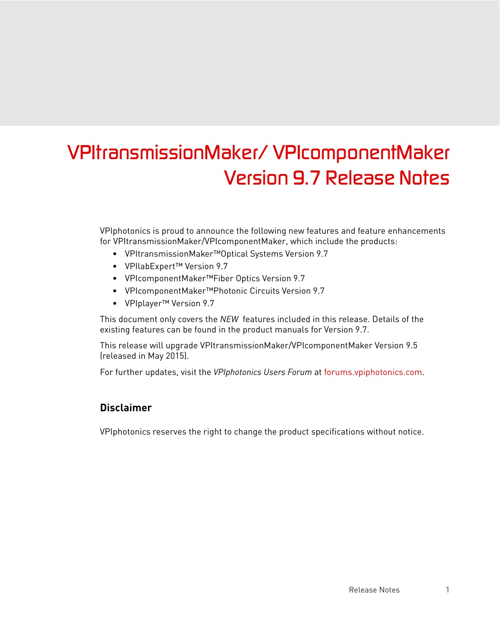# *VPItransmissionMaker/ VPIcomponentMaker Version 9.7 Release Notes*

VPIphotonics is proud to announce the following new features and feature enhancements for VPItransmissionMaker/VPIcomponentMaker, which include the products:

- VPItransmissionMaker™Optical Systems Version 9.7
- VPIlabExpert™ Version 9.7
- VPIcomponentMaker™Fiber Optics Version 9.7
- VPIcomponentMaker™Photonic Circuits Version 9.7
- VPIplayer™ Version 9.7

This document only covers the *NEW* features included in this release. Details of the existing features can be found in the product manuals for Version 9.7.

This release will upgrade VPItransmissionMaker/VPIcomponentMaker Version 9.5 (released in May 2015).

For further updates, visit the *VPIphotonics Users Forum* at [forums.vpiphotonics.com.](http://forums.vpiphotonics.com)

#### **Disclaimer**

VPIphotonics reserves the right to change the product specifications without notice.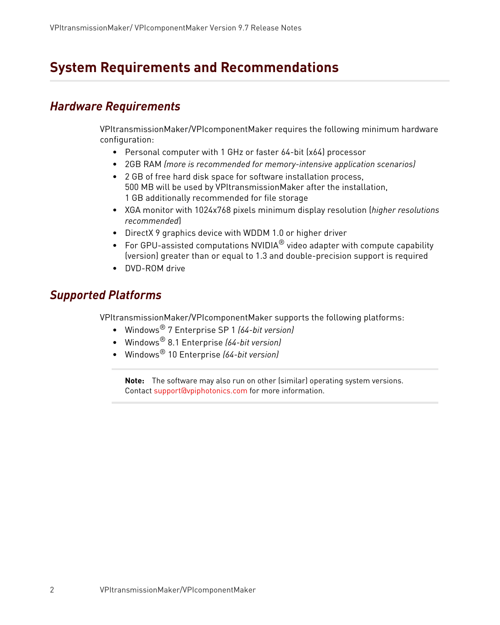## **System Requirements and Recommendations**

## *Hardware Requirements*

VPItransmissionMaker/VPIcomponentMaker requires the following minimum hardware configuration:

- Personal computer with 1 GHz or faster 64-bit (x64) processor
- 2GB RAM *(more is recommended for memory-intensive application scenarios)*
- 2 GB of free hard disk space for software installation process, 500 MB will be used by VPItransmissionMaker after the installation, 1 GB additionally recommended for file storage
- XGA monitor with 1024x768 pixels minimum display resolution (*higher resolutions recommended*)
- DirectX 9 graphics device with WDDM 1.0 or higher driver
- For GPU-assisted computations NVIDIA $^{\circledR}$  video adapter with compute capability (version) greater than or equal to 1.3 and double-precision support is required
- DVD-ROM drive

## <span id="page-3-0"></span>*Supported Platforms*

VPItransmissionMaker/VPIcomponentMaker supports the following platforms:

- Windows® 7 Enterprise SP 1 *(64-bit version)*
- Windows® 8.1 Enterprise *(64-bit version)*
- Windows® 10 Enterprise *(64-bit version)*

**Note:** The software may also run on other (similar) operating system versions. Contact [support@vpiphotonics.com](mailto:support@vpiphotonics.com) for more information.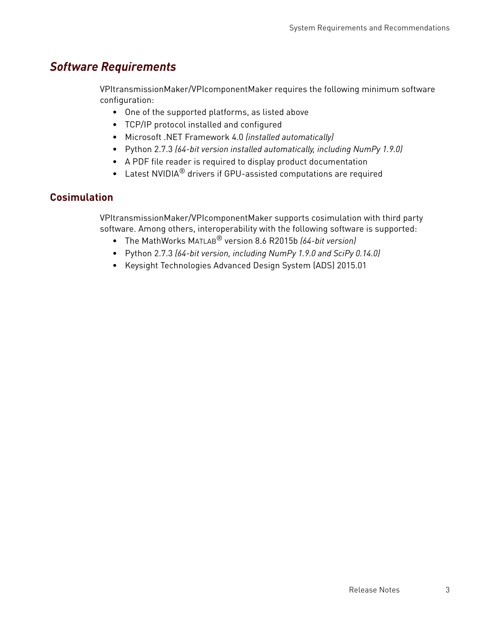## *Software Requirements*

VPItransmissionMaker/VPIcomponentMaker requires the following minimum software configuration:

- One of the supported platforms, as listed above
- TCP/IP protocol installed and configured
- Microsoft .NET Framework 4.0 *(installed automatically)*
- Python 2.7.3 *(64-bit version installed automatically, including NumPy 1.9.0)*
- A PDF file reader is required to display product documentation
- Latest NVIDIA<sup>®</sup> drivers if GPU-assisted computations are required

### **Cosimulation**

VPItransmissionMaker/VPIcomponentMaker supports cosimulation with third party software. Among others, interoperability with the following software is supported:

- The MathWorks MATLAB® version 8.6 R2015b *(64-bit version)*
- Python 2.7.3 *(64-bit version, including NumPy 1.9.0 and SciPy 0.14.0)*
- Keysight Technologies Advanced Design System (ADS) 2015.01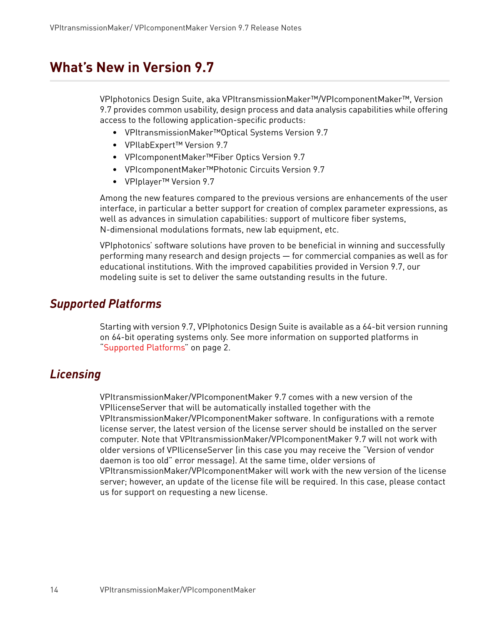## **What's New in Version 9.7**

VPIphotonics Design Suite, aka VPItransmissionMaker™/VPIcomponentMaker™, Version 9.7 provides common usability, design process and data analysis capabilities while offering access to the following application-specific products:

- VPItransmissionMaker™Optical Systems Version 9.7
- VPIlabExpert™ Version 9.7
- VPIcomponentMaker™Fiber Optics Version 9.7
- VPIcomponentMaker™Photonic Circuits Version 9.7
- VPIplayer™ Version 9.7

Among the new features compared to the previous versions are enhancements of the user interface, in particular a better support for creation of complex parameter expressions, as well as advances in simulation capabilities: support of multicore fiber systems, N-dimensional modulations formats, new lab equipment, etc.

VPIphotonics' software solutions have proven to be beneficial in winning and successfully performing many research and design projects — for commercial companies as well as for educational institutions. With the improved capabilities provided in Version 9.7, our modeling suite is set to deliver the same outstanding results in the future.

## *Supported Platforms*

Starting with version 9.7, VPIphotonics Design Suite is available as a 64-bit version running on 64-bit operating systems only. See more information on supported platforms in ["Supported Platforms" on page 2.](#page-3-0)

## *Licensing*

VPItransmissionMaker/VPIcomponentMaker 9.7 comes with a new version of the VPIlicenseServer that will be automatically installed together with the VPItransmissionMaker/VPIcomponentMaker software. In configurations with a remote license server, the latest version of the license server should be installed on the server computer. Note that VPItransmissionMaker/VPIcomponentMaker 9.7 will not work with older versions of VPIlicenseServer (in this case you may receive the "Version of vendor daemon is too old" error message). At the same time, older versions of VPItransmissionMaker/VPIcomponentMaker will work with the new version of the license server; however, an update of the license file will be required. In this case, please contact us for support on requesting a new license.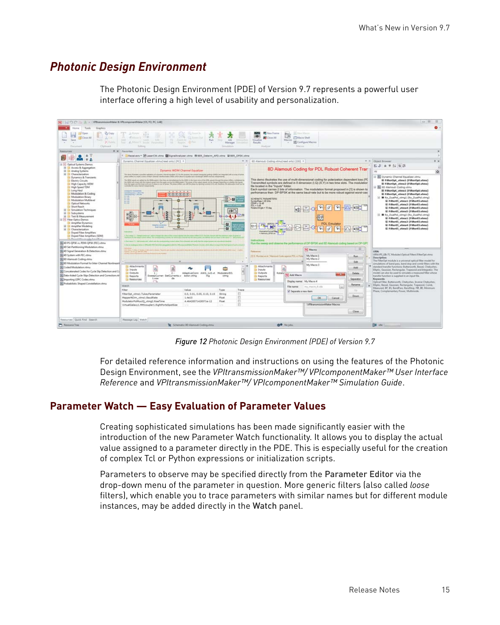## *Photonic Design Environment*

The Photonic Design Environment (PDE) of Version 9.7 represents a powerful user interface offering a high level of usability and personalization.



*Figure 12 Photonic Design Environment (PDE) of Version 9.7*

For detailed reference information and instructions on using the features of the Photonic Design Environment, see the *VPItransmissionMaker™/ VPIcomponentMaker™ User Interface Reference* and *VPItransmissionMaker™/ VPIcomponentMaker™ Simulation Guide*.

### **Parameter Watch — Easy Evaluation of Parameter Values**

Creating sophisticated simulations has been made significantly easier with the introduction of the new Parameter Watch functionality. It allows you to display the actual value assigned to a parameter directly in the PDE. This is especially useful for the creation of complex Tcl or Python expressions or initialization scripts.

Parameters to observe may be specified directly from the Parameter Editor via the drop-down menu of the parameter in question. More generic filters (also called *loose* filters), which enable you to trace parameters with similar names but for different module instances, may be added directly in the Watch panel.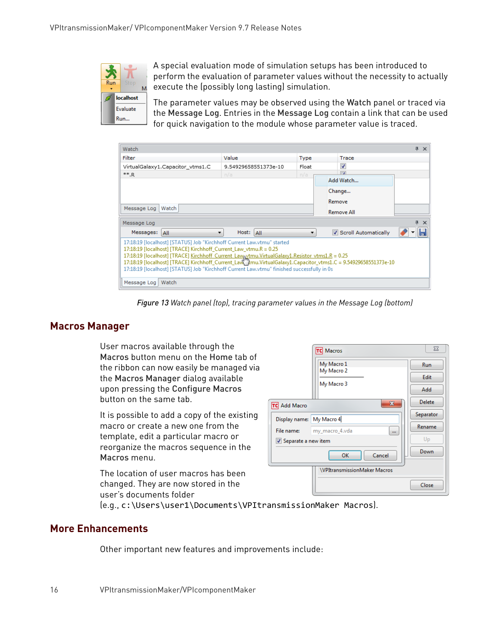

A special evaluation mode of simulation setups has been introduced to perform the evaluation of parameter values without the necessity to actually execute the (possibly long lasting) simulation.

The parameter values may be observed using the Watch panel or traced via the Message Log. Entries in the Message Log contain a link that can be used for quick navigation to the module whose parameter value is traced.

| Watch                                                                                                                                                                                                                                                                                                                                                                                                                                                          |                      |             |  |                         |  | $4 \times$ |  |  |
|----------------------------------------------------------------------------------------------------------------------------------------------------------------------------------------------------------------------------------------------------------------------------------------------------------------------------------------------------------------------------------------------------------------------------------------------------------------|----------------------|-------------|--|-------------------------|--|------------|--|--|
| Filter                                                                                                                                                                                                                                                                                                                                                                                                                                                         | Value                | <b>Type</b> |  | Trace                   |  |            |  |  |
| VirtualGalaxy1.Capacitor_vtms1.C                                                                                                                                                                                                                                                                                                                                                                                                                               | 9.54929658551373e-10 | Float       |  | $\overline{\mathsf{v}}$ |  |            |  |  |
| $** R$                                                                                                                                                                                                                                                                                                                                                                                                                                                         | n/a                  | n/a         |  | $\Box$                  |  |            |  |  |
| Add Watch                                                                                                                                                                                                                                                                                                                                                                                                                                                      |                      |             |  |                         |  |            |  |  |
| Change                                                                                                                                                                                                                                                                                                                                                                                                                                                         |                      |             |  |                         |  |            |  |  |
| Remove                                                                                                                                                                                                                                                                                                                                                                                                                                                         |                      |             |  |                         |  |            |  |  |
| Message Log<br>Watch<br>Remove All                                                                                                                                                                                                                                                                                                                                                                                                                             |                      |             |  |                         |  |            |  |  |
| $\sqrt{4}$<br>Message Log                                                                                                                                                                                                                                                                                                                                                                                                                                      |                      |             |  |                         |  |            |  |  |
| Messages: All                                                                                                                                                                                                                                                                                                                                                                                                                                                  | Host: All<br>۰.      | ▼           |  | Scroll Automatically    |  |            |  |  |
| 17:18:19 [localhost] [STATUS] Job "Kirchhoff Current Law.vtmu" started<br>17:18:19 [localhost] [TRACE] Kirchhoff_Current_Law_vtmu.R = 0.25<br>17:18:19 [localhost] [TRACE] Kirchhoff Current Lawovtmu.VirtualGalaxy1.Resistor vtms1.R = 0.25<br>17:18:19 [localhost] [TRACE] Kirchhoff_Current_Law [Prou.VirtualGalaxy1.Capacitor_vtms1.C = 9.54929658551373e-10<br>17:18:19 [localhost] [STATUS] Job "Kirchhoff Current Law.vtmu" finished successfully in 0s |                      |             |  |                         |  |            |  |  |
| Message Log<br>Watch                                                                                                                                                                                                                                                                                                                                                                                                                                           |                      |             |  |                         |  |            |  |  |

*Figure 13 Watch panel (top), tracing parameter values in the Message Log (bottom)*

#### **Macros Manager**

User macros available through the Macros button menu on the Home tab of the ribbon can now easily be managed via the Macros Manager dialog available upon pressing the Configure Macros button on the same tab.

It is possible to add a copy of the existing macro or create a new one from the template, edit a particular macro or reorganize the macros sequence in the Macros menu.

The location of user macros has been changed. They are now stored in the user's documents folder

|                          | <b>TC</b> Macros                    | $\Sigma$      |
|--------------------------|-------------------------------------|---------------|
|                          | My Macro 1<br>My Macro 2            | Run           |
|                          | My Macro 3                          | Edit          |
|                          |                                     | Add           |
| <b>TC</b> Add Macro      | $\mathbf{x}$                        | <b>Delete</b> |
| Display name: My Macro 4 |                                     | Separator     |
| File name:               | my_macro_4.vda<br>$\cdots$          | Rename        |
| Separate a new item      | Up                                  |               |
|                          | OK<br>Cancel                        | Down          |
|                          | <b>\VPItransmissionMaker Macros</b> | Close         |

(e.g., c:\Users\user1\Documents\VPItransmissionMaker Macros).

#### **More Enhancements**

Other important new features and improvements include: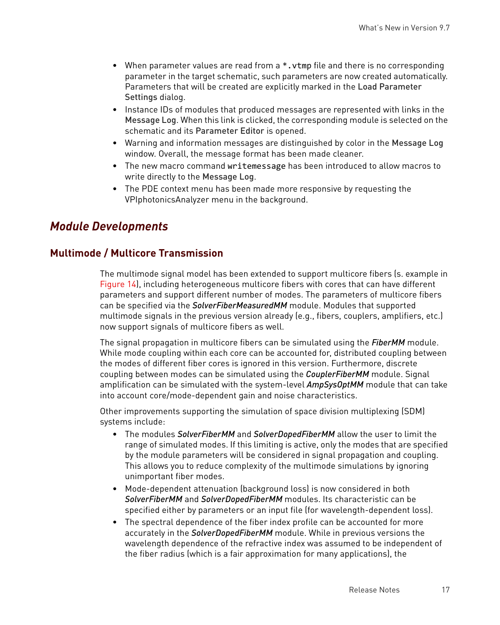- When parameter values are read from a \*, vtmp file and there is no corresponding parameter in the target schematic, such parameters are now created automatically. Parameters that will be created are explicitly marked in the Load Parameter Settings dialog.
- Instance IDs of modules that produced messages are represented with links in the Message Log. When this link is clicked, the corresponding module is selected on the schematic and its Parameter Editor is opened.
- Warning and information messages are distinguished by color in the Message Log window. Overall, the message format has been made cleaner.
- The new macro command writemessage has been introduced to allow macros to write directly to the Message Log.
- The PDE context menu has been made more responsive by requesting the VPIphotonicsAnalyzer menu in the background.

## *Module Developments*

#### **Multimode / Multicore Transmission**

The multimode signal model has been extended to support multicore fibers (s. example in Figure 14), including heterogeneous multicore fibers with cores that can have different parameters and support different number of modes. The parameters of multicore fibers can be specified via the *SolverFiberMeasuredMM* module. Modules that supported multimode signals in the previous version already (e.g., fibers, couplers, amplifiers, etc.) now support signals of multicore fibers as well.

The signal propagation in multicore fibers can be simulated using the *FiberMM* module. While mode coupling within each core can be accounted for, distributed coupling between the modes of different fiber cores is ignored in this version. Furthermore, discrete coupling between modes can be simulated using the *CouplerFiberMM* module. Signal amplification can be simulated with the system-level *AmpSysOptMM* module that can take into account core/mode-dependent gain and noise characteristics.

Other improvements supporting the simulation of space division multiplexing (SDM) systems include:

- The modules *SolverFiberMM* and *SolverDopedFiberMM* allow the user to limit the range of simulated modes. If this limiting is active, only the modes that are specified by the module parameters will be considered in signal propagation and coupling. This allows you to reduce complexity of the multimode simulations by ignoring unimportant fiber modes.
- Mode-dependent attenuation (background loss) is now considered in both *SolverFiberMM* and *SolverDopedFiberMM* modules. Its characteristic can be specified either by parameters or an input file (for wavelength-dependent loss).
- The spectral dependence of the fiber index profile can be accounted for more accurately in the *SolverDopedFiberMM* module. While in previous versions the wavelength dependence of the refractive index was assumed to be independent of the fiber radius (which is a fair approximation for many applications), the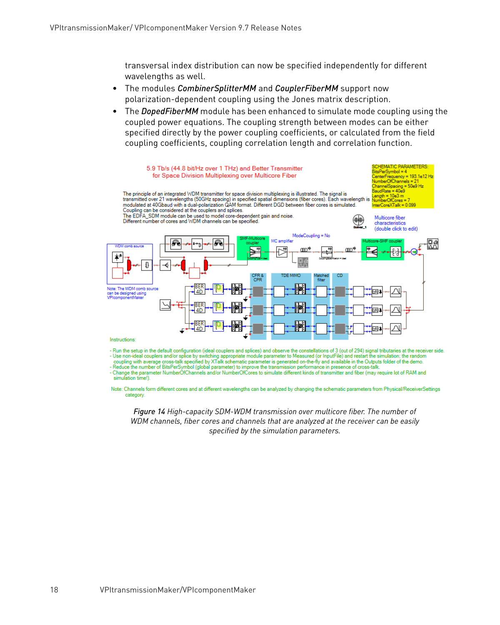transversal index distribution can now be specified independently for different wavelengths as well.

- The modules *CombinerSplitterMM* and *CouplerFiberMM* support now polarization-dependent coupling using the Jones matrix description.
- The *DopedFiberMM* module has been enhanced to simulate mode coupling using the coupled power equations. The coupling strength between modes can be either specified directly by the power coupling coefficients, or calculated from the field coupling coefficients, coupling correlation length and correlation function.



- Run the setup in the default configuration (ideal couplers and splices) and observe the constellations of 3 (out of 294) signal tributaries at the receiver side. - Use non-ideal couplers and/or splice by switching appropriate module parameter to Measured (or InputFile) and restart the simulation; the random

coupling with average cross-talk specified by XTalk schematic parameter is generated on-the-fly and available in the Outputs folder of the demo. Reduce the number of BitsPerSymbol (global parameter) to improve the transmission performance in presence of cross-talk.

- Change the parameter NumberOfChannels and/or NumberOfCores to simulate different kinds of transmitter and fiber (may require lot of RAM and simulation time!).

Note: Channels form different cores and at different wavelengths can be analyzed by changing the schematic parameters from Physical/ReceiverSettings category.

*Figure 14 High-capacity SDM-WDM transmission over multicore fiber. The number of WDM channels, fiber cores and channels that are analyzed at the receiver can be easily specified by the simulation parameters.*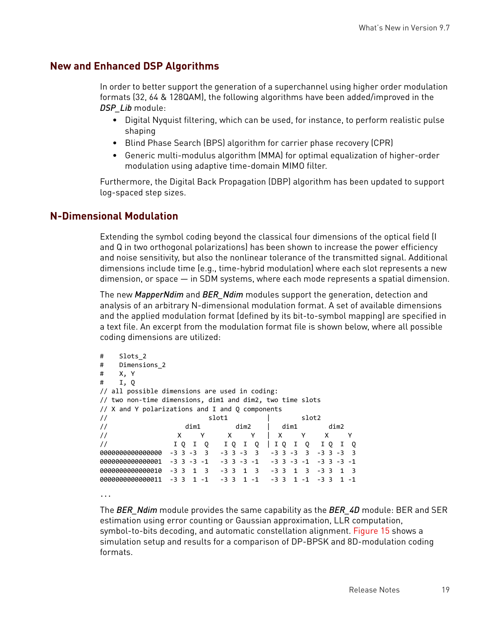#### **New and Enhanced DSP Algorithms**

In order to better support the generation of a superchannel using higher order modulation formats (32, 64 & 128QAM), the following algorithms have been added/improved in the *DSP\_Lib* module:

- Digital Nyquist filtering, which can be used, for instance, to perform realistic pulse shaping
- Blind Phase Search (BPS) algorithm for carrier phase recovery (CPR)
- Generic multi-modulus algorithm (MMA) for optimal equalization of higher-order modulation using adaptive time-domain MIMO filter.

Furthermore, the Digital Back Propagation (DBP) algorithm has been updated to support log-spaced step sizes.

#### **N-Dimensional Modulation**

Extending the symbol coding beyond the classical four dimensions of the optical field (I and Q in two orthogonal polarizations) has been shown to increase the power efficiency and noise sensitivity, but also the nonlinear tolerance of the transmitted signal. Additional dimensions include time (e.g., time-hybrid modulation) where each slot represents a new dimension, or space — in SDM systems, where each mode represents a spatial dimension.

The new *MapperNdim* and *BER\_Ndim* modules support the generation, detection and analysis of an arbitrary N-dimensional modulation format. A set of available dimensions and the applied modulation format (defined by its bit-to-symbol mapping) are specified in a text file. An excerpt from the modulation format file is shown below, where all possible coding dimensions are utilized:

```
#    Slots_2
#    Dimensions_2
#    X, Y
#    I, Q
// all possible dimensions are used in coding:
// two non‐time dimensions, dim1 and dim2, two time slots
// X and Y polarizations and I and Q components
//                          slot1          |        slot2
\frac{1}{2} \frac{1}{2} \frac{1}{2} \frac{1}{2} \frac{1}{2} \frac{1}{2} \frac{1}{2} \frac{1}{2} \frac{1}{2} \frac{1}{2} \frac{1}{2} \frac{1}{2} \frac{1}{2} \frac{1}{2} \frac{1}{2} \frac{1}{2} \frac{1}{2} \frac{1}{2} \frac{1}{2} \frac{1}{2} \frac{1}{2} \frac{1}{2} // X Y X Y | X Y X Y<br>// IQIQ IQIQ | IQIQ IQI(
//                 I Q  I  Q    I Q  I  Q  | I Q  I  Q   I Q  I  Q
0000000000000000  ‐3 3 ‐3  3   ‐3 3 ‐3  3   ‐3 3 ‐3  3  ‐3 3 ‐3  3
0000000000000001  ‐3 3 ‐3 ‐1   ‐3 3 ‐3 ‐1   ‐3 3 ‐3 ‐1  ‐3 3 ‐3 ‐1
00000000000000000000    -3 3  1  3   -3 3  1  3   -3 3  1  3    -3 3  1  3
00000000000000000011  -3  3  1 -1  -3  3  1 -1  -3  3  1 -1  -3  3  1 -1
```
...

The *BER\_Ndim* module provides the same capability as the *BER\_4D* module: BER and SER estimation using error counting or Gaussian approximation, LLR computation, symbol-to-bits decoding, and automatic constellation alignment. [Figure 15](#page-11-0) shows a simulation setup and results for a comparison of DP-BPSK and 8D-modulation coding formats.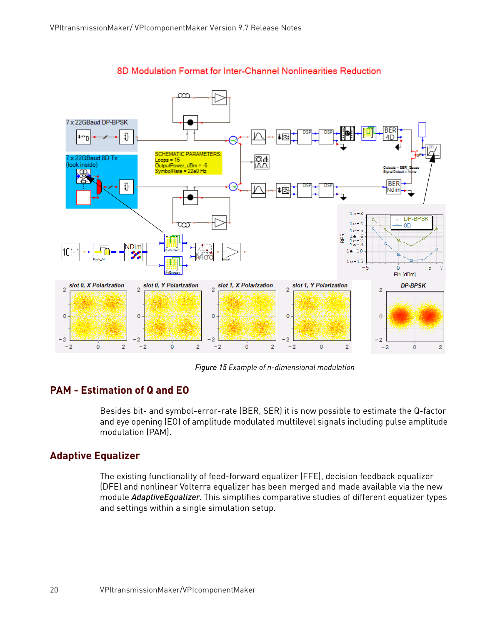

#### 8D Modulation Format for Inter-Channel Nonlinearities Reduction

*Figure 15 Example of n-dimensional modulation*

#### **PAM - Estimation of Q and EO**

<span id="page-11-0"></span>Besides bit- and symbol-error-rate (BER, SER) it is now possible to estimate the Q-factor and eye opening (EO) of amplitude modulated multilevel signals including pulse amplitude modulation (PAM).

#### **Adaptive Equalizer**

The existing functionality of feed-forward equalizer (FFE), decision feedback equalizer (DFE) and nonlinear Volterra equalizer has been merged and made available via the new module *AdaptiveEqualizer*. This simplifies comparative studies of different equalizer types and settings within a single simulation setup.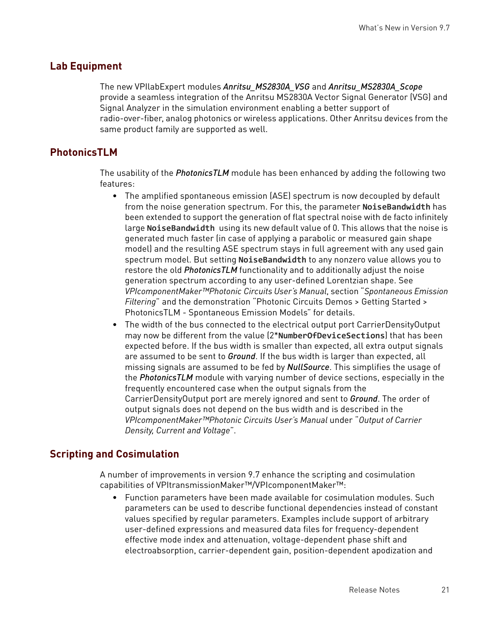#### **Lab Equipment**

The new VPIlabExpert modules *Anritsu\_MS2830A\_VSG* and *Anritsu\_MS2830A\_Scope* provide a seamless integration of the Anritsu MS2830A Vector Signal Generator (VSG) and Signal Analyzer in the simulation environment enabling a better support of radio-over-fiber, analog photonics or wireless applications. Other Anritsu devices from the same product family are supported as well.

### **PhotonicsTLM**

The usability of the *PhotonicsTLM* module has been enhanced by adding the following two features:

- The amplified spontaneous emission (ASE) spectrum is now decoupled by default from the noise generation spectrum. For this, the parameter **NoiseBandwidth** has been extended to support the generation of flat spectral noise with de facto infinitely large **NoiseBandwidth** using its new default value of 0. This allows that the noise is generated much faster (in case of applying a parabolic or measured gain shape model) and the resulting ASE spectrum stays in full agreement with any used gain spectrum model. But setting **NoiseBandwidth** to any nonzero value allows you to restore the old *PhotonicsTLM* functionality and to additionally adjust the noise generation spectrum according to any user-defined Lorentzian shape. See *VPIcomponentMaker™Photonic Circuits User's Manual*, section "*Spontaneous Emission Filtering*" and the demonstration "Photonic Circuits Demos > Getting Started > PhotonicsTLM - Spontaneous Emission Models" for details.
- The width of the bus connected to the electrical output port CarrierDensityOutput may now be different from the value (2\***NumberOfDeviceSections**) that has been expected before. If the bus width is smaller than expected, all extra output signals are assumed to be sent to *Ground*. If the bus width is larger than expected, all missing signals are assumed to be fed by *NullSource*. This simplifies the usage of the *PhotonicsTLM* module with varying number of device sections, especially in the frequently encountered case when the output signals from the CarrierDensityOutput port are merely ignored and sent to *Ground*. The order of output signals does not depend on the bus width and is described in the *VPIcomponentMaker™Photonic Circuits User's Manual* under "*Output of Carrier Density, Current and Voltage*".

### **Scripting and Cosimulation**

A number of improvements in version 9.7 enhance the scripting and cosimulation capabilities of VPItransmissionMaker™/VPIcomponentMaker™:

• Function parameters have been made available for cosimulation modules. Such parameters can be used to describe functional dependencies instead of constant values specified by regular parameters. Examples include support of arbitrary user-defined expressions and measured data files for frequency-dependent effective mode index and attenuation, voltage-dependent phase shift and electroabsorption, carrier-dependent gain, position-dependent apodization and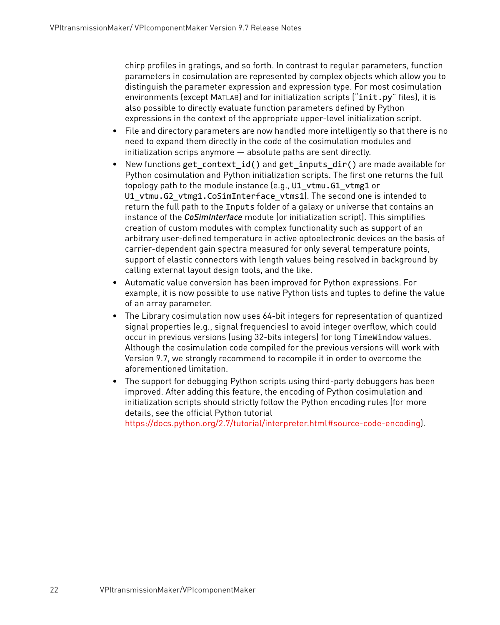chirp profiles in gratings, and so forth. In contrast to regular parameters, function parameters in cosimulation are represented by complex objects which allow you to distinguish the parameter expression and expression type. For most cosimulation environments (except MATLAB) and for initialization scripts ("init.py" files), it is also possible to directly evaluate function parameters defined by Python expressions in the context of the appropriate upper-level initialization script.

- File and directory parameters are now handled more intelligently so that there is no need to expand them directly in the code of the cosimulation modules and initialization scrips anymore — absolute paths are sent directly.
- New functions get\_context\_id() and get\_inputs\_dir() are made available for Python cosimulation and Python initialization scripts. The first one returns the full topology path to the module instance (e.g., U1\_vtmu.G1\_vtmg1 or U1 vtmu.G2 vtmg1.CoSimInterface vtms1). The second one is intended to return the full path to the Inputs folder of a galaxy or universe that contains an instance of the *CoSimInterface* module (or initialization script). This simplifies creation of custom modules with complex functionality such as support of an arbitrary user-defined temperature in active optoelectronic devices on the basis of carrier-dependent gain spectra measured for only several temperature points, support of elastic connectors with length values being resolved in background by calling external layout design tools, and the like.
- Automatic value conversion has been improved for Python expressions. For example, it is now possible to use native Python lists and tuples to define the value of an array parameter.
- The Library cosimulation now uses 64-bit integers for representation of quantized signal properties (e.g., signal frequencies) to avoid integer overflow, which could occur in previous versions (using 32-bits integers) for long TimeWindow values. Although the cosimulation code compiled for the previous versions will work with Version 9.7, we strongly recommend to recompile it in order to overcome the aforementioned limitation.
- The support for debugging Python scripts using third-party debuggers has been improved. After adding this feature, the encoding of Python cosimulation and initialization scripts should strictly follow the Python encoding rules (for more details, see the official Python tutorial

<https://docs.python.org/2.7/tutorial/interpreter.html#source-code-encoding>).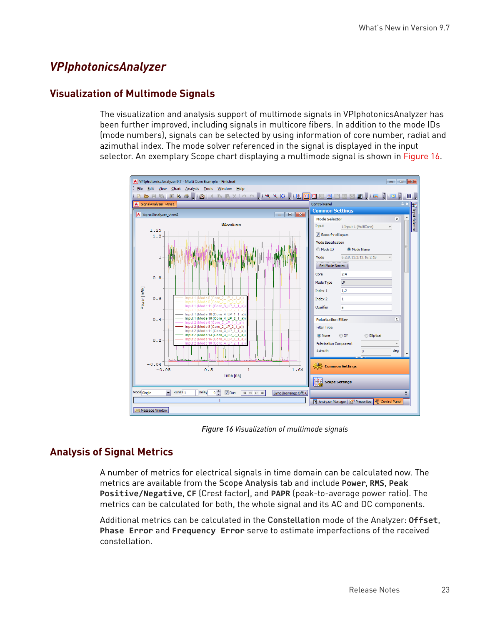## *VPIphotonicsAnalyzer*

## **Visualization of Multimode Signals**

The visualization and analysis support of multimode signals in VPIphotonicsAnalyzer has been further improved, including signals in multicore fibers. In addition to the mode IDs (mode numbers), signals can be selected by using information of core number, radial and azimuthal index. The mode solver referenced in the signal is displayed in the input selector. An exemplary Scope chart displaying a multimode signal is shown in Figure 16.



*Figure 16 Visualization of multimode signals*

## **Analysis of Signal Metrics**

A number of metrics for electrical signals in time domain can be calculated now. The metrics are available from the Scope Analysis tab and include **Power**, **RMS**, **Peak Positive/Negative**, **CF** (Crest factor), and **PAPR** (peak-to-average power ratio). The metrics can be calculated for both, the whole signal and its AC and DC components.

Additional metrics can be calculated in the Constellation mode of the Analyzer: **Offset**, **Phase Error** and **Frequency Error** serve to estimate imperfections of the received constellation.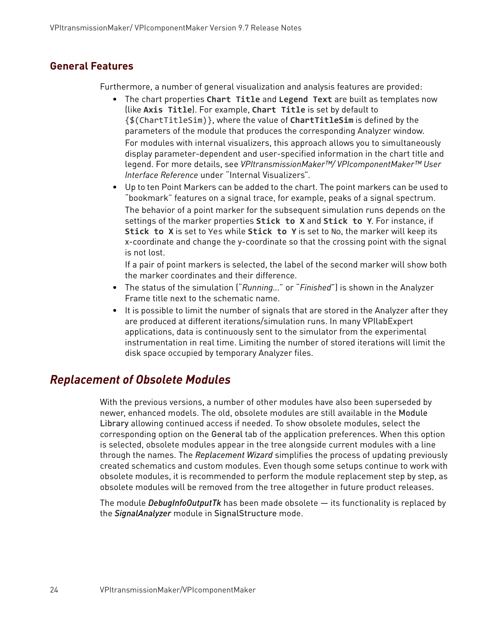### **General Features**

Furthermore, a number of general visualization and analysis features are provided:

- The chart properties **Chart Title** and **Legend Text** are built as templates now (like **Axis Title**). For example, **Chart Title** is set by default to {\$(ChartTitleSim)}, where the value of **ChartTitleSim** is defined by the parameters of the module that produces the corresponding Analyzer window. For modules with internal visualizers, this approach allows you to simultaneously display parameter-dependent and user-specified information in the chart title and legend. For more details, see *VPItransmissionMaker™/ VPIcomponentMaker™ User Interface Reference* under "Internal Visualizers".
- Up to ten Point Markers can be added to the chart. The point markers can be used to "bookmark" features on a signal trace, for example, peaks of a signal spectrum.

The behavior of a point marker for the subsequent simulation runs depends on the settings of the marker properties **Stick to X** and **Stick to Y**. For instance, if **Stick to X** is set to Yes while **Stick to Y** is set to No, the marker will keep its x-coordinate and change the y-coordinate so that the crossing point with the signal is not lost.

If a pair of point markers is selected, the label of the second marker will show both the marker coordinates and their difference.

- The status of the simulation ("*Running...*" or "*Finished*") is shown in the Analyzer Frame title next to the schematic name.
- It is possible to limit the number of signals that are stored in the Analyzer after they are produced at different iterations/simulation runs. In many VPIlabExpert applications, data is continuously sent to the simulator from the experimental instrumentation in real time. Limiting the number of stored iterations will limit the disk space occupied by temporary Analyzer files.

## *Replacement of Obsolete Modules*

With the previous versions, a number of other modules have also been superseded by newer, enhanced models. The old, obsolete modules are still available in the Module Library allowing continued access if needed. To show obsolete modules, select the corresponding option on the General tab of the application preferences. When this option is selected, obsolete modules appear in the tree alongside current modules with a line through the names. The *Replacement Wizard* simplifies the process of updating previously created schematics and custom modules. Even though some setups continue to work with obsolete modules, it is recommended to perform the module replacement step by step, as obsolete modules will be removed from the tree altogether in future product releases.

The module *DebugInfoOutputTk* has been made obsolete — its functionality is replaced by the *SignalAnalyzer* module in SignalStructure mode.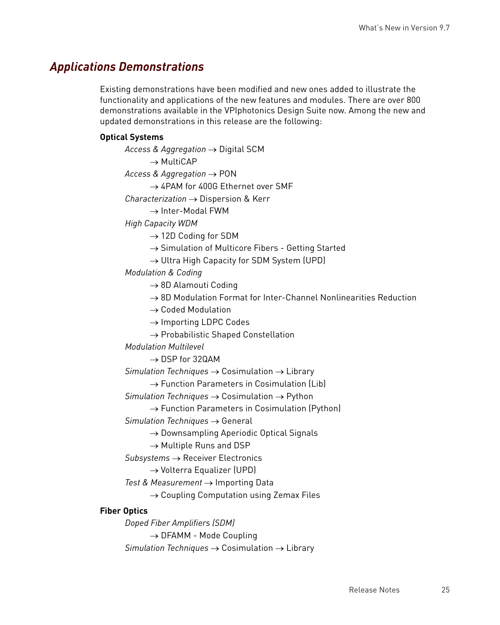## *Applications Demonstrations*

Existing demonstrations have been modified and new ones added to illustrate the functionality and applications of the new features and modules. There are over 800 demonstrations available in the VPIphotonics Design Suite now. Among the new and updated demonstrations in this release are the following:

#### **Optical Systems**

*Access & Aggregation* → Digital SCM

 $\rightarrow$  MultiCAP

*Access & Aggregation* → PON

→ 4PAM for 400G Ethernet over SMF

*Characterization* → Dispersion & Kerr

 $\rightarrow$  Inter-Modal FWM

*High Capacity WDM*

 $\rightarrow$  12D Coding for SDM

 $\rightarrow$  Simulation of Multicore Fibers - Getting Started

 $\rightarrow$  Ultra High Capacity for SDM System (UPD)

*Modulation & Coding*

 $\rightarrow$  8D Alamouti Coding

 $\rightarrow$  8D Modulation Format for Inter-Channel Nonlinearities Reduction

 $\rightarrow$  Coded Modulation

 $\rightarrow$  Importing LDPC Codes

 $\rightarrow$  Probabilistic Shaped Constellation

*Modulation Multilevel*

 $\rightarrow$  DSP for 32QAM

*Simulation Techniques*  $\rightarrow$  Cosimulation  $\rightarrow$  Library

 $\rightarrow$  Function Parameters in Cosimulation (Lib)

*Simulation Techniques*  $\rightarrow$  Cosimulation  $\rightarrow$  Python

 $\rightarrow$  Function Parameters in Cosimulation (Python)

*Simulation Techniques*  $\rightarrow$  General

 $\rightarrow$  Downsampling Aperiodic Optical Signals

 $\rightarrow$  Multiple Runs and DSP

*Subsystems* Receiver Electronics

→ Volterra Equalizer (UPD)

*Test & Measurement → Importing Data* 

 $\rightarrow$  Coupling Computation using Zemax Files

#### **Fiber Optics**

*Doped Fiber Amplifiers (SDM)*  $\rightarrow$  DFAMM - Mode Coupling *Simulation Techniques*  $\rightarrow$  Cosimulation  $\rightarrow$  Library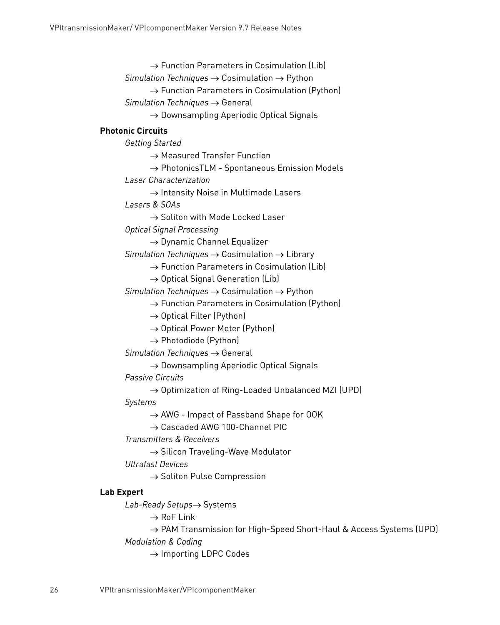$\rightarrow$  Function Parameters in Cosimulation (Lib)  $Simulation$  *Techniques*  $\rightarrow$  *Cosimulation*  $\rightarrow$  Python  $\rightarrow$  Function Parameters in Cosimulation (Python) *Simulation Techniques*  $\rightarrow$  General  $\rightarrow$  Downsampling Aperiodic Optical Signals **Photonic Circuits** *Getting Started*  $\rightarrow$  Measured Transfer Function  $\rightarrow$  PhotonicsTLM - Spontaneous Emission Models *Laser Characterization*  $\rightarrow$  Intensity Noise in Multimode Lasers *Lasers & SOAs*  $\rightarrow$  Soliton with Mode Locked Laser *Optical Signal Processing*  $\rightarrow$  Dynamic Channel Equalizer *Simulation Techniques*  $\rightarrow$  Cosimulation  $\rightarrow$  Library  $\rightarrow$  Function Parameters in Cosimulation (Lib)  $\rightarrow$  Optical Signal Generation (Lib) *Simulation Techniques*  $\rightarrow$  Cosimulation  $\rightarrow$  Python  $\rightarrow$  Function Parameters in Cosimulation (Python)  $\rightarrow$  Optical Filter (Python)  $\rightarrow$  Optical Power Meter (Python)  $\rightarrow$  Photodiode (Python) *Simulation Techniques*  $\rightarrow$  General  $\rightarrow$  Downsampling Aperiodic Optical Signals *Passive Circuits*  $\rightarrow$  Optimization of Ring-Loaded Unbalanced MZI (UPD) *Systems*  $\rightarrow$  AWG - Impact of Passband Shape for OOK → Cascaded AWG 100-Channel PIC *Transmitters & Receivers*  $\rightarrow$  Silicon Traveling-Wave Modulator *Ultrafast Devices*

 $\rightarrow$  Soliton Pulse Compression

#### **Lab Expert**

*Lab-Ready Setups→ Systems* 

 $\rightarrow$  RoF Link

→ PAM Transmission for High-Speed Short-Haul & Access Systems (UPD) *Modulation & Coding*

 $\rightarrow$  Importing LDPC Codes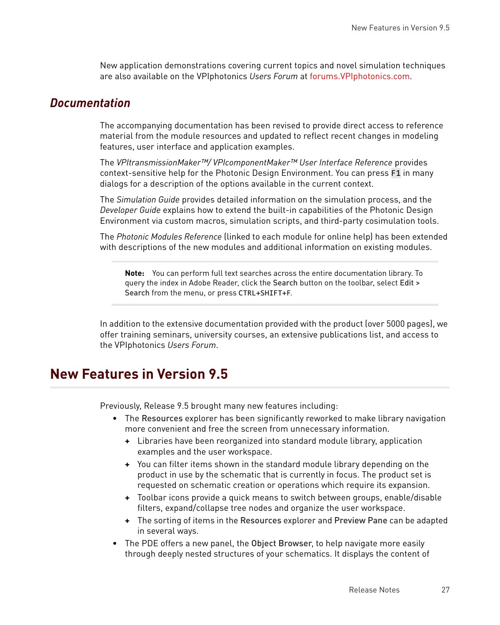New application demonstrations covering current topics and novel simulation techniques are also available on the VPIphotonics *Users Forum* at [forums.VPIphotonics.com.](http://forums.VPIphotonics.com)

### *Documentation*

The accompanying documentation has been revised to provide direct access to reference material from the module resources and updated to reflect recent changes in modeling features, user interface and application examples.

The *VPItransmissionMaker™/ VPIcomponentMaker™ User Interface Reference* provides context-sensitive help for the Photonic Design Environment. You can press F1 in many dialogs for a description of the options available in the current context.

The *Simulation Guide* provides detailed information on the simulation process, and the *Developer Guide* explains how to extend the built-in capabilities of the Photonic Design Environment via custom macros, simulation scripts, and third-party cosimulation tools.

The *Photonic Modules Reference* (linked to each module for online help) has been extended with descriptions of the new modules and additional information on existing modules.

**Note:** You can perform full text searches across the entire documentation library. To query the index in Adobe Reader, click the Search button on the toolbar, select Edit > Search from the menu, or press CTRL+SHIFT+F.

In addition to the extensive documentation provided with the product (over 5000 pages), we offer training seminars, university courses, an extensive publications list, and access to the VPIphotonics *Users Forum*.

## **New Features in Version 9.5**

Previously, Release 9.5 brought many new features including:

- The Resources explorer has been significantly reworked to make library navigation more convenient and free the screen from unnecessary information.
	- **+** Libraries have been reorganized into standard module library, application examples and the user workspace.
	- **+** You can filter items shown in the standard module library depending on the product in use by the schematic that is currently in focus. The product set is requested on schematic creation or operations which require its expansion.
	- **+** Toolbar icons provide a quick means to switch between groups, enable/disable filters, expand/collapse tree nodes and organize the user workspace.
	- **+** The sorting of items in the Resources explorer and Preview Pane can be adapted in several ways.
- The PDE offers a new panel, the Object Browser, to help navigate more easily through deeply nested structures of your schematics. It displays the content of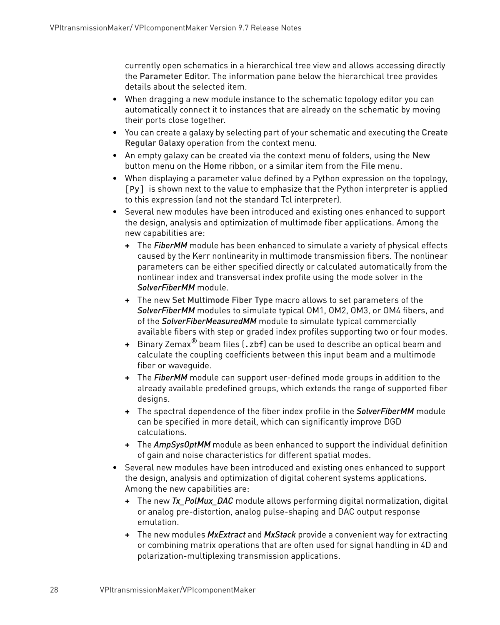currently open schematics in a hierarchical tree view and allows accessing directly the Parameter Editor. The information pane below the hierarchical tree provides details about the selected item.

- When dragging a new module instance to the schematic topology editor you can automatically connect it to instances that are already on the schematic by moving their ports close together.
- You can create a galaxy by selecting part of your schematic and executing the Create Regular Galaxy operation from the context menu.
- An empty galaxy can be created via the context menu of folders, using the New button menu on the Home ribbon, or a similar item from the File menu.
- When displaying a parameter value defined by a Python expression on the topology, [Py] is shown next to the value to emphasize that the Python interpreter is applied to this expression (and not the standard Tcl interpreter).
- Several new modules have been introduced and existing ones enhanced to support the design, analysis and optimization of multimode fiber applications. Among the new capabilities are:
	- **+** The *FiberMM* module has been enhanced to simulate a variety of physical effects caused by the Kerr nonlinearity in multimode transmission fibers. The nonlinear parameters can be either specified directly or calculated automatically from the nonlinear index and transversal index profile using the mode solver in the *SolverFiberMM* module.
	- **+** The new Set Multimode Fiber Type macro allows to set parameters of the *SolverFiberMM* modules to simulate typical OM1, OM2, OM3, or OM4 fibers, and of the *SolverFiberMeasuredMM* module to simulate typical commercially available fibers with step or graded index profiles supporting two or four modes.
	- **+** Binary Zemax® beam files (.zbf) can be used to describe an optical beam and calculate the coupling coefficients between this input beam and a multimode fiber or waveguide.
	- **+** The *FiberMM* module can support user-defined mode groups in addition to the already available predefined groups, which extends the range of supported fiber designs.
	- **+** The spectral dependence of the fiber index profile in the *SolverFiberMM* module can be specified in more detail, which can significantly improve DGD calculations.
	- **+** The *AmpSysOptMM* module as been enhanced to support the individual definition of gain and noise characteristics for different spatial modes.
- Several new modules have been introduced and existing ones enhanced to support the design, analysis and optimization of digital coherent systems applications. Among the new capabilities are:
	- **+** The new *Tx\_PolMux\_DAC* module allows performing digital normalization, digital or analog pre-distortion, analog pulse-shaping and DAC output response emulation.
	- **+** The new modules *MxExtract* and *MxStack* provide a convenient way for extracting or combining matrix operations that are often used for signal handling in 4D and polarization-multiplexing transmission applications.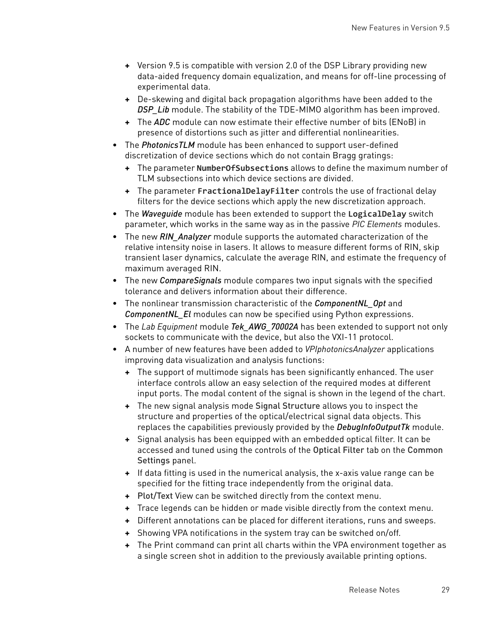- **+** Version 9.5 is compatible with version 2.0 of the DSP Library providing new data-aided frequency domain equalization, and means for off-line processing of experimental data.
- **+** De-skewing and digital back propagation algorithms have been added to the *DSP\_Lib* module. The stability of the TDE-MIMO algorithm has been improved.
- **+** The *ADC* module can now estimate their effective number of bits (ENoB) in presence of distortions such as jitter and differential nonlinearities.
- The *PhotonicsTLM* module has been enhanced to support user-defined discretization of device sections which do not contain Bragg gratings:
	- **+** The parameter **NumberOfSubsections** allows to define the maximum number of TLM subsections into which device sections are divided.
	- **+** The parameter **FractionalDelayFilter** controls the use of fractional delay filters for the device sections which apply the new discretization approach.
- The *Waveguide* module has been extended to support the **LogicalDelay** switch parameter, which works in the same way as in the passive *PIC Elements* modules.
- The new *RIN\_Analyzer* module supports the automated characterization of the relative intensity noise in lasers. It allows to measure different forms of RIN, skip transient laser dynamics, calculate the average RIN, and estimate the frequency of maximum averaged RIN.
- The new *CompareSignals* module compares two input signals with the specified tolerance and delivers information about their difference.
- The nonlinear transmission characteristic of the *ComponentNL\_Opt* and *ComponentNL\_El* modules can now be specified using Python expressions.
- The *Lab Equipment* module *Tek\_AWG\_70002A* has been extended to support not only sockets to communicate with the device, but also the VXI-11 protocol.
- A number of new features have been added to *VPIphotonicsAnalyzer* applications improving data visualization and analysis functions:
	- **+** The support of multimode signals has been significantly enhanced. The user interface controls allow an easy selection of the required modes at different input ports. The modal content of the signal is shown in the legend of the chart.
	- **+** The new signal analysis mode Signal Structure allows you to inspect the structure and properties of the optical/electrical signal data objects. This replaces the capabilities previously provided by the *DebugInfoOutputTk* module.
	- **+** Signal analysis has been equipped with an embedded optical filter. It can be accessed and tuned using the controls of the Optical Filter tab on the Common Settings panel.
	- **+** If data fitting is used in the numerical analysis, the x-axis value range can be specified for the fitting trace independently from the original data.
	- **+** Plot/Text View can be switched directly from the context menu.
	- **+** Trace legends can be hidden or made visible directly from the context menu.
	- **+** Different annotations can be placed for different iterations, runs and sweeps.
	- **+** Showing VPA notifications in the system tray can be switched on/off.
	- **+** The Print command can print all charts within the VPA environment together as a single screen shot in addition to the previously available printing options.